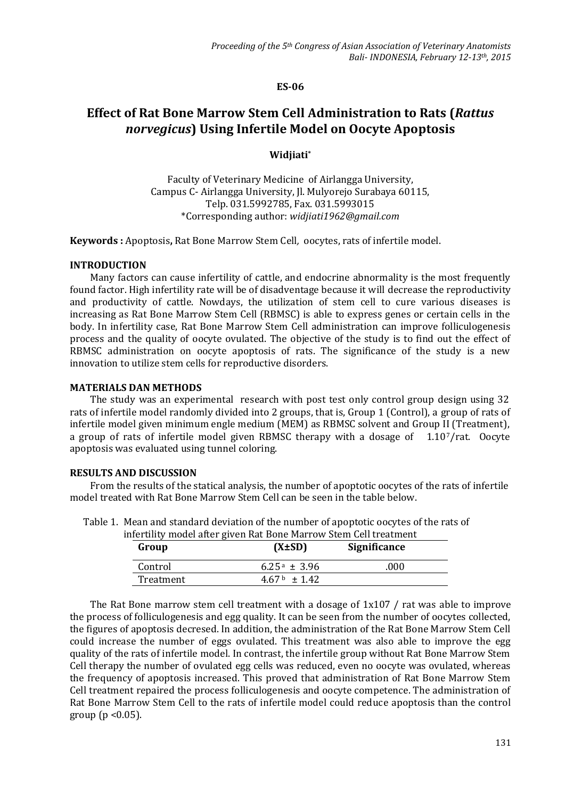#### **ES-06**

# **Effect of Rat Bone Marrow Stem Cell Administration to Rats (***Rattus norvegicus***) Using Infertile Model on Oocyte Apoptosis**

## **Widjiati\***

Faculty of Veterinary Medicine of Airlangga University, Campus C- Airlangga University, Jl. Mulyorejo Surabaya 60115, Telp. 031.5992785, Fax. 031.5993015 \*Corresponding author: *[widjiati1962@gmail.com](mailto:widjiati1962@gmail.com)*

**Keywords :** Apoptosis**,** Rat Bone Marrow Stem Cell*,* oocytes, rats of infertile model.

## **INTRODUCTION**

Many factors can cause infertility of cattle, and endocrine abnormality is the most frequently found factor. High infertility rate will be of disadventage because it will decrease the reproductivity and productivity of cattle. Nowdays, the utilization of stem cell to cure various diseases is increasing as Rat Bone Marrow Stem Cell (RBMSC) is able to express genes or certain cells in the body. In infertility case, Rat Bone Marrow Stem Cell administration can improve folliculogenesis process and the quality of oocyte ovulated. The objective of the study is to find out the effect of RBMSC administration on oocyte apoptosis of rats. The significance of the study is a new innovation to utilize stem cells for reproductive disorders.

#### **MATERIALS DAN METHODS**

The study was an experimental research with post test only control group design using 32 rats of infertile model randomly divided into 2 groups, that is, Group 1 (Control), a group of rats of infertile model given minimum engle medium (MEM) as RBMSC solvent and Group II (Treatment), a group of rats of infertile model given RBMSC therapy with a dosage of 1.107/rat. Oocyte apoptosis was evaluated using tunnel coloring.

## **RESULTS AND DISCUSSION**

From the results of the statical analysis, the number of apoptotic oocytes of the rats of infertile model treated with Rat Bone Marrow Stem Cell can be seen in the table below.

| Group     | $(X \pm SD)$     | Significance |
|-----------|------------------|--------------|
| Control   | $6.25a \pm 3.96$ | .000         |
| Treatment | $4.67b \pm 1.42$ |              |

Table 1. Mean and standard deviation of the number of apoptotic oocytes of the rats of infertility model after given Rat Bone Marrow Stem Cell treatment

The Rat Bone marrow stem cell treatment with a dosage of 1x107 / rat was able to improve the process of folliculogenesis and egg quality. It can be seen from the number of oocytes collected, the figures of apoptosis decresed. In addition, the administration of the Rat Bone Marrow Stem Cell could increase the number of eggs ovulated. This treatment was also able to improve the egg quality of the rats of infertile model. In contrast, the infertile group without Rat Bone Marrow Stem Cell therapy the number of ovulated egg cells was reduced, even no oocyte was ovulated, whereas the frequency of apoptosis increased. This proved that administration of Rat Bone Marrow Stem Cell treatment repaired the process folliculogenesis and oocyte competence. The administration of Rat Bone Marrow Stem Cell to the rats of infertile model could reduce apoptosis than the control group ( $p < 0.05$ ).